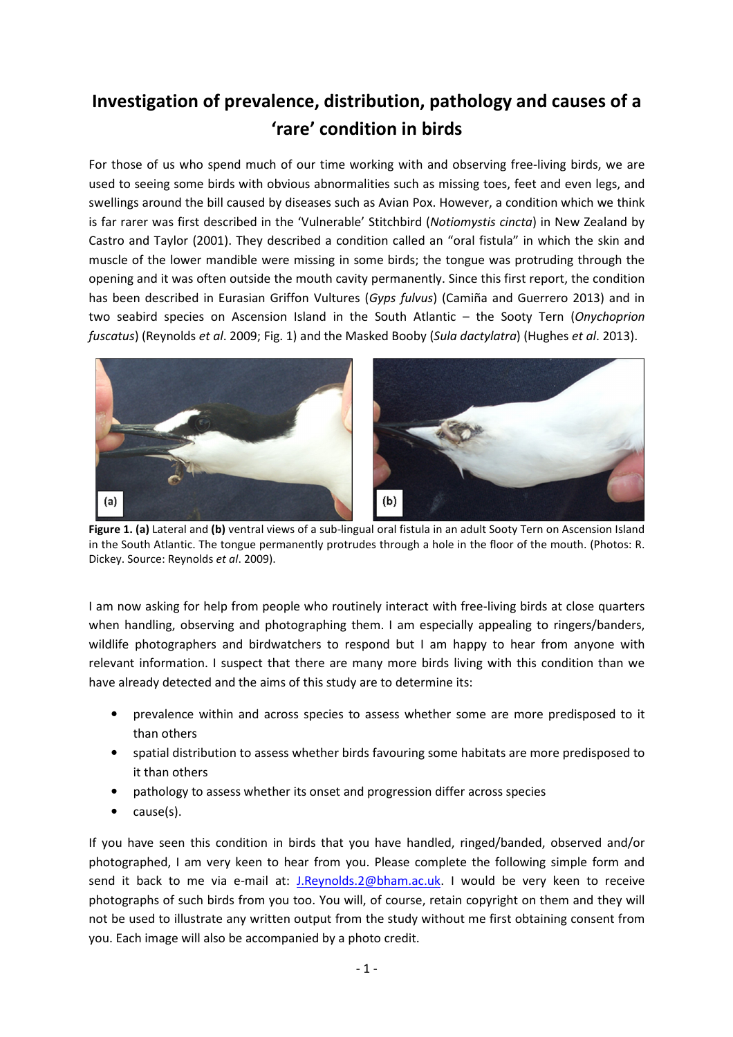## Investigation of prevalence, distribution, pathology and causes of a 'rare' condition in birds

For those of us who spend much of our time working with and observing free-living birds, we are used to seeing some birds with obvious abnormalities such as missing toes, feet and even legs, and swellings around the bill caused by diseases such as Avian Pox. However, a condition which we think is far rarer was first described in the 'Vulnerable' Stitchbird (Notiomystis cincta) in New Zealand by Castro and Taylor (2001). They described a condition called an "oral fistula" in which the skin and muscle of the lower mandible were missing in some birds; the tongue was protruding through the opening and it was often outside the mouth cavity permanently. Since this first report, the condition has been described in Eurasian Griffon Vultures (Gyps fulvus) (Camiña and Guerrero 2013) and in two seabird species on Ascension Island in the South Atlantic – the Sooty Tern (Onychoprion fuscatus) (Reynolds et al. 2009; Fig. 1) and the Masked Booby (Sula dactylatra) (Hughes et al. 2013).



Figure 1. (a) Lateral and (b) ventral views of a sub-lingual oral fistula in an adult Sooty Tern on Ascension Island in the South Atlantic. The tongue permanently protrudes through a hole in the floor of the mouth. (Photos: R. Dickey. Source: Reynolds et al. 2009).

I am now asking for help from people who routinely interact with free-living birds at close quarters when handling, observing and photographing them. I am especially appealing to ringers/banders, wildlife photographers and birdwatchers to respond but I am happy to hear from anyone with relevant information. I suspect that there are many more birds living with this condition than we have already detected and the aims of this study are to determine its:

- prevalence within and across species to assess whether some are more predisposed to it than others
- spatial distribution to assess whether birds favouring some habitats are more predisposed to it than others
- pathology to assess whether its onset and progression differ across species
- cause(s).

If you have seen this condition in birds that you have handled, ringed/banded, observed and/or photographed, I am very keen to hear from you. Please complete the following simple form and send it back to me via e-mail at: J.Reynolds.2@bham.ac.uk. I would be very keen to receive photographs of such birds from you too. You will, of course, retain copyright on them and they will not be used to illustrate any written output from the study without me first obtaining consent from you. Each image will also be accompanied by a photo credit.